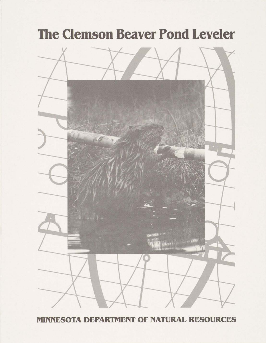# **The Clemson Beaver Pond Leveler**



**MINNESOTA DEPARTMENT OF NATURAL RESOURCES**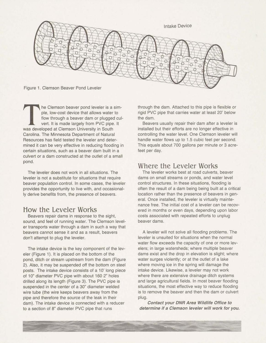

he Clemson beaver pond leveler is a simple, low-cost device that allows water to flow through a beaver dam or plugged culvert. It is made largely from PVC pipe. It was developed at Clemson University in South Carolina. The Minnesota Department of Natural Resources has field tested the leveler and determined it can be very effective in reducing flooding in certain situations, such as a beaver dam built in a culvert or a dam constructed at the outlet of a small pond.

The leveler does not work in all situations. The leveler is not a substitute for situations that require beaver population control. In some cases, the leveler provides the opportunity to live with, and occasionally derive benefits from, the presence of beavers.

## How the Leveler Works

Beavers repair dams in response to the sight, sound, and feel of running water. The Clemson leveler transports water through a dam in such a way that beavers cannot sense it and as a result, beavers don't attempt to plug the leveler.

The intake device is the key component of the leveler (Figure 1). It is placed on the bottom of the pond, ditch or stream upstream from the dam (Figure 2). Also, it may be suspended off the bottom on steel posts. The intake device consists of a 10' long piece of 10" diameter PVC pipe with about 160 2" holes drilled along its length (Figure 3). The PVC pipe is suspended in the center of a 30" diameter welded wire tube (the wire keeps beavers away from the pipe and therefore the source of the leak in their dam). The intake device is connected with a reducer to a section of 8" diameter PVC pipe that runs

through the dam. Attached to this pipe is flexible or rigid PVC pipe that carries water at least 20' below the dam.

Beavers usually repair their dam after a leveler is installed but their efforts are no longer effective in controlling the water level. One Clemson leveler will handle water flows up to 1.5 cubic feet per second. This equals about 700 gallons per minute or 3 acrefeet per day.

### Where the Leveler Works

The leveler works best at road culverts, beaver dams on small streams or ponds, and water level control structures. In these situations, flooding is often the result of a dam being being built at a critical location rather than the presence of beavers in general. Once installed, the leveler is virtually maintenance free. The initial cost of a leveler can be recovered in months or even days, depending upon labor costs associated with repeated efforts to unplug beaver dams.

A leveler will not solve all flooding problems. The leveler is unsuited for situations when the normal water flow exceeds the capacity of one or more levelers; in large watersheds; where multiple beaver dams exist and the drop in elevation is slight; where water surges violently; or at the outlet of a lake where moving ice in the spring will damage the intake device. Likewise, a leveler may not work where there are extensive drainage ditch systems and large agricultural fields. In most beaver flooding situations, the most effective way to reduce flooding is to remove the beaver and then the dam or culvert Plug.

**Contact your DNR Area Wildlife Office to determine if a Clemson leveler will work for you.**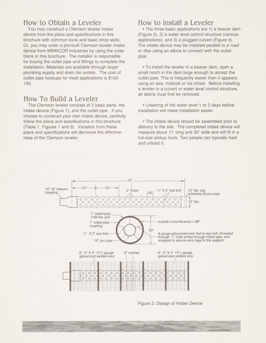#### **How to** Obtain a Leveler

You may construct a Clemson leveler intake device from the plans and specifications in this brochure with common tools and basic shop skills. Or, you may order a pre-built Clemson leveler intake device from MINNCOR Industries by using the order blank in this brochure. The installer is responsible for buying the outlet pipe and fittings to complete the installation. Materials are available through larger plumbing supply and drain tile outlets. The cost of outlet pipe hookups for most applications is \$100- 150.

## **How To** Build a Leveler

The Clemson leveler consists of 2 basic parts, the intake device (Figure I), and the outlet pipe. If you choose to construct your own intake device, carefully follow the plans and specifications in this brochure (Table 1, Figures 1 and 3). Variation from these plans and specifications will decrease the effectiveness of the Clemson leveler.

#### **How to** install a Leveler

The three basic applications are 1) a beaver dam (Figure 2), 2) a water level control structure (various applications), and 3) a plugged culvert (Figure **4).**  The intake device may be installed parallel to a road or dike using an elbow to connect with the outlet pipe.

To install the leveler in a beaver dam, open a small notch in the dam large enough to accept the outlet pipe. This is frequently easier than it appears, using an axe, mattock or ice chisel. Before installing a leveler in a culvert or water level control structure, all debris must first be removed.

Lowering of the water level 1 or 2 days before installation will make installation easier.

The intake device should be assembled prior to delivery to the site. The completed intake device will measure about 11' long and 30" wide and will fit in a full-size pickup truck. Two people can typically load and unload it.



Figure 3. Design of Intake Device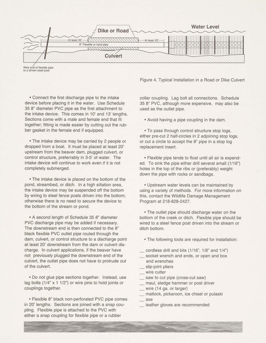

<sup>/</sup> **Wire end of flexible plpe** to **a driven steel post** 

Figure **4.** Typical Installation in a Road or Dike Culvert

Connect the first discharge pipe to the intake device before placing it in the water. Use Schedule 35 8" diameter PVC pipe as the first attachment to the intake device. This comes in 10' and 13' lengths. Sections come with a male and female end that fit together; fitting is made easier by cutting out the rubber gasket in the female end if equipped.

The intake device may be carried by 2 people or dropped from a boat. It must be placed at least 20' upstream from the beaver dam, plugged culvert, or control structure, preferrably in 3-5' of water. The intake device will continue to work even if it is not completely submerged.

The intake device is placed on the bottom of the pond, streambed, or ditch. In a high siltation area, the intake device may be suspended off the bottom by wiring to steel fence posts driven into the bottom; otherwise there is no need to secure the device to the bottom of the stream or pond.

• A second length of Schedule 35 8" diameter PVC discharge pipe may be added if necessary. The downstream end is then connected to the 8" black flexible PVC outlet pipe routed through the dam, culvert, or control structure to a discharge point at least 20' downstream from the dam or culvert discharge. In culvert applications, if the beaver have not previously plugged the downstream end of the culvert, the outlet pipe does not have to protrude out of the culvert.

Do not glue pipe sections together. Instead, use lag bolts  $(1/4" \times 1 \frac{1}{2")}$  or wire pins to hold joints or couplings together.

• Flexible 8" black non-perforated PVC pipe comes in 20' lengths. Sections are joined with a snap coupling. Flexible pipe is attached to the PVC with either a snap coupling for flexible pipe or a rubber

collar coupling. Lag bolt all connections. Schedule 35 8" PVC, although more expensive, may also be used as the outlet pipe.

Avoid having a pipe coupling in the dam.

To pass through control structure stop logs, either pre-cut 2 half-circles in 2 adjoining stop logs. or cut a circle to accept the 8" pipe in a stop log replacement insert.

Flexible pipe tends to float until all air is expended. To sink the pipe either drill several small (1/16") holes in the top of the ribs or (preferably) weight down the pipe with rocks or sandbags.

Upstream water levels can be maintained by using a variety of methods. For more information on this, contact the Wildlife Damage Management Program at 218-828-2427.

The outlet pipe should discharge water on the bottom of the creek or ditch. Flexible pipe should be wired to a steel fence post driven into the stream or ditch bottom.

- The following tools are required for installation:
- cordless drill and bits  $(1/16"$ ,  $1/8"$  and  $1/4"$ )
- socket wrench and ends, or open and box end wrenches - socket wrench<br>
end wrenches<br>
- slip-joint pliers<br>
wire eutter
- 
- end wrencl<br>
\_ slip-joint pli<br>
\_ wire cutter<br>
caw to gut
- wire cutter<br>saw to cut pipe (cross-cut saw)
- wire cutter<br>
 saw to cut pipe (cross-cut saw)<br>
 maul, sledge hammer or post driver<br>
wire (14 ap. or larger) saw to cut pipe (cross-<br>
maul, sledge hammer<br>
wire (14 ga. or larger)<br>
matteck pickerson is
- 
- maul, sledge hammer or post driver<br>- wire (14 ga. or larger)<br>- mattock, pickaroon, ice chisel or pulaski  $-$  wire<br> $-$  matt<br> $-$  axe
- axe<br>leather gloves are recommended